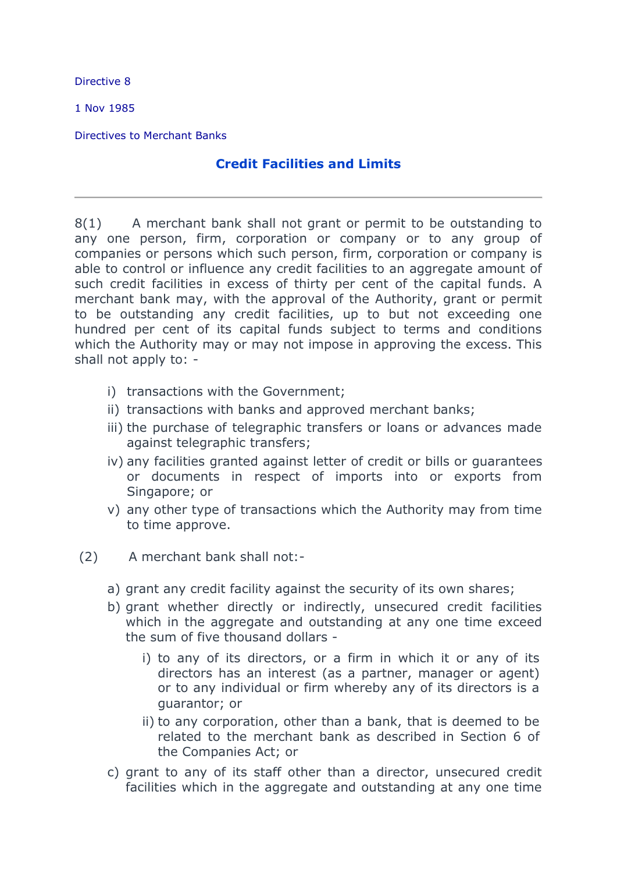Directive 8

1 Nov 1985

Directives to Merchant Banks

## **Credit Facilities and Limits**

8(1) A merchant bank shall not grant or permit to be outstanding to any one person, firm, corporation or company or to any group of companies or persons which such person, firm, corporation or company is able to control or influence any credit facilities to an aggregate amount of such credit facilities in excess of thirty per cent of the capital funds. A merchant bank may, with the approval of the Authority, grant or permit to be outstanding any credit facilities, up to but not exceeding one hundred per cent of its capital funds subject to terms and conditions which the Authority may or may not impose in approving the excess. This shall not apply to: -

- i) transactions with the Government;
- ii) transactions with banks and approved merchant banks;
- iii) the purchase of telegraphic transfers or loans or advances made against telegraphic transfers;
- iv) any facilities granted against letter of credit or bills or guarantees or documents in respect of imports into or exports from Singapore; or
- v) any other type of transactions which the Authority may from time to time approve.
- (2) A merchant bank shall not:
	- a) grant any credit facility against the security of its own shares;
	- b) grant whether directly or indirectly, unsecured credit facilities which in the aggregate and outstanding at any one time exceed the sum of five thousand dollars
		- i) to any of its directors, or a firm in which it or any of its directors has an interest (as a partner, manager or agent) or to any individual or firm whereby any of its directors is a guarantor; or
		- ii) to any corporation, other than a bank, that is deemed to be related to the merchant bank as described in Section 6 of the Companies Act; or
	- c) grant to any of its staff other than a director, unsecured credit facilities which in the aggregate and outstanding at any one time